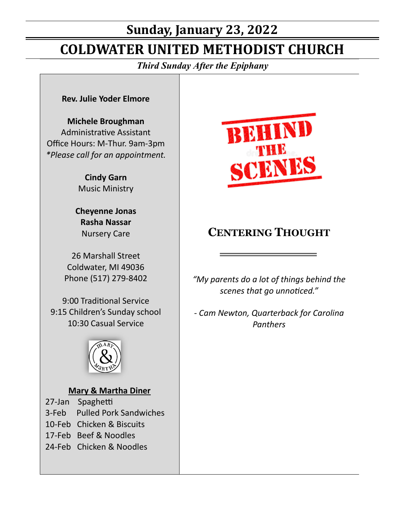# **Sunday, January 23, 2022**

# **COLDWATER UNITED METHODIST CHURCH**

*Third Sunday After the Epiphany*

#### **Rev. Julie Yoder Elmore**

#### **Michele Broughman**

Administrative Assistant Office Hours: M-Thur. 9am-3pm *\*Please call for an appointment.*

> **Cindy Garn** Music Ministry

**Cheyenne Jonas Rasha Nassar** Nursery Care

26 Marshall Street Coldwater, MI 49036 Phone (517) 279-8402

9:00 Traditional Service 9:15 Children's Sunday school 10:30 Casual Service



#### **Mary & Martha Diner**

27-Jan Spaghetti 3-Feb Pulled Pork Sandwiches 10-Feb Chicken & Biscuits 17-Feb Beef & Noodles 24-Feb Chicken & Noodles



## **CENTERING THOUGHT**

*"My parents do a lot of things behind the scenes that go unnoticed."*

*- Cam Newton, Quarterback for Carolina Panthers*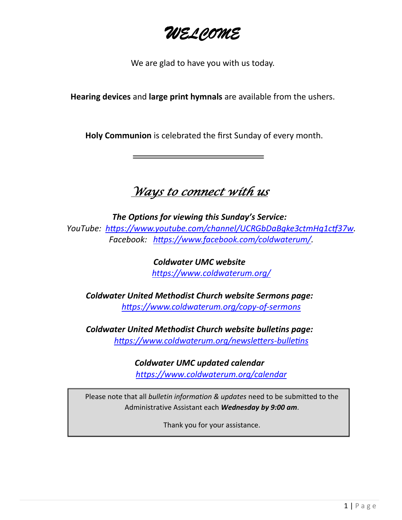*WELCOME*

We are glad to have you with us today.

**Hearing devices** and **large print hymnals** are available from the ushers.

**Holy Communion** is celebrated the first Sunday of every month.

# *Ways to connect with us*

*The Options for viewing this Sunday's Service: YouTube: https://www.youtube.com/channel/UCRGbDaBgke3ctmHq1ctf37w. Facebook: https://www.facebook.com/coldwaterum/.*

> *Coldwater UMC website [https://www.coldwaterum.org/](about:blank)*

*Coldwater United Methodist Church website Sermons page: https://www.coldwaterum.org/copy-of-sermons*

*Coldwater United Methodist Church website bulletins page: https://www.coldwaterum.org/newsletters-bulletins*

> *Coldwater UMC updated calendar [https://www.coldwaterum.org/calendar](about:blank)*

Please note that all *bulletin information & updates* need to be submitted to the Administrative Assistant each *Wednesday by 9:00 am*.

Thank you for your assistance.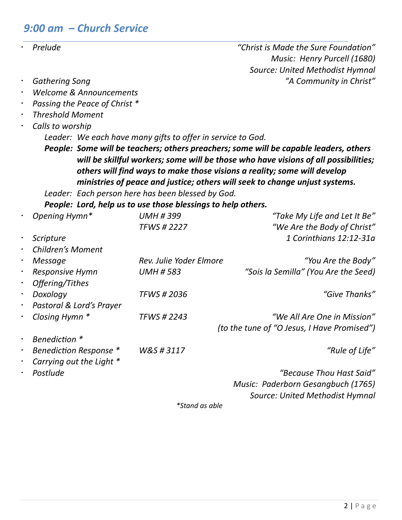### *9:00 am – Church Service*

| Prelude |
|---------|
|         |

 *Prelude "Christ is Made the Sure Foundation" Music: Henry Purcell (1680) Source: United Methodist Hymnal Gathering Song "A Community in Christ"*

- 
- *Welcome & Announcements*
- *Passing the Peace of Christ \**
- *Threshold Moment*
- *Calls to worship*

*Leader: We each have many gifts to offer in service to God.*

*People: Some will be teachers; others preachers; some will be capable leaders, others will be skillful workers; some will be those who have visions of all possibilities; others will find ways to make those visions a reality; some will develop ministries of peace and justice; others will seek to change unjust systems.*

*Leader: Each person here has been blessed by God.*

*People: Lord, help us to use those blessings to help others.*

| $\bullet$ | Opening Hymn*            | <b>UMH #399</b>         | "Take My Life and Let It Be"                |
|-----------|--------------------------|-------------------------|---------------------------------------------|
|           |                          | <b>TFWS #2227</b>       | "We Are the Body of Christ"                 |
| $\bullet$ | Scripture                |                         | 1 Corinthians 12:12-31a                     |
|           | <b>Children's Moment</b> |                         |                                             |
| $\bullet$ | Message                  | Rev. Julie Yoder Elmore | "You Are the Body"                          |
| $\bullet$ | <b>Responsive Hymn</b>   | <b>UMH #583</b>         | "Sois la Semilla" (You Are the Seed)        |
| $\bullet$ | Offering/Tithes          |                         |                                             |
| $\bullet$ | Doxology                 | <b>TFWS # 2036</b>      | "Give Thanks"                               |
| $\bullet$ | Pastoral & Lord's Prayer |                         |                                             |
| $\bullet$ | Closing Hymn *           | <b>TFWS # 2243</b>      | "We All Are One in Mission"                 |
|           |                          |                         | (to the tune of "O Jesus, I Have Promised") |
| $\bullet$ | Benediction *            |                         |                                             |
|           | Benediction Response *   | W&S#3117                | "Rule of Life"                              |
|           | Carrying out the Light * |                         |                                             |
| $\bullet$ | Postlude                 |                         | "Because Thou Hast Said"                    |
|           |                          |                         | Music: Paderborn Gesangbuch (1765)          |
|           |                          |                         | Source: United Methodist Hymnal             |
|           |                          | *Stand as able          |                                             |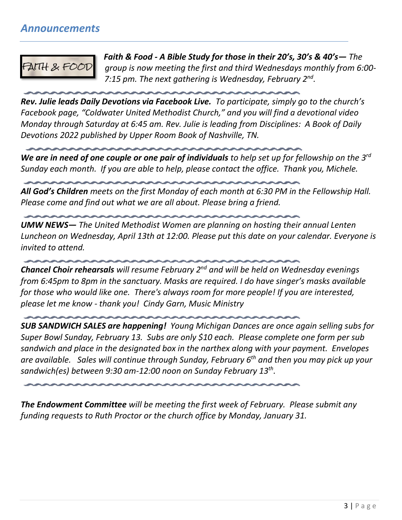### *Announcements*

FAITH & FOOT

*Faith & Food - A Bible Study for those in their 20's, 30's & 40's— The group is now meeting the first and third Wednesdays monthly from 6:00- 7:15 pm. The next gathering is Wednesday, February 2nd .* 

*Rev. Julie leads Daily Devotions via Facebook Live. To participate, simply go to the church's Facebook page, "Coldwater United Methodist Church," and you will find a devotional video Monday through Saturday at 6:45 am. Rev. Julie is leading from Disciplines: A Book of Daily Devotions 2022 published by Upper Room Book of Nashville, TN.*

*We are in need of one couple or one pair of individuals to help set up for fellowship on the 3rd Sunday each month. If you are able to help, please contact the office. Thank you, Michele.*

*All God's Children meets on the first Monday of each month at 6:30 PM in the Fellowship Hall. Please come and find out what we are all about. Please bring a friend.*

*UMW NEWS— The United Methodist Women are planning on hosting their annual Lenten Luncheon on Wednesday, April 13th at 12:00. Please put this date on your calendar. Everyone is invited to attend.*

*Chancel Choir rehearsals will resume February 2nd and will be held on Wednesday evenings from 6:45pm to 8pm in the sanctuary. Masks are required. I do have singer's masks available for those who would like one. There's always room for more people! If you are interested, please let me know - thank you! Cindy Garn, Music Ministry*

*SUB SANDWICH SALES are happening! Young Michigan Dances are once again selling subs for Super Bowl Sunday, February 13. Subs are only \$10 each. Please complete one form per sub sandwich and place in the designated box in the narthex along with your payment. Envelopes are available. Sales will continue through Sunday, February 6th and then you may pick up your sandwich(es) between 9:30 am-12:00 noon on Sunday February 13th .* 

*The Endowment Committee will be meeting the first week of February. Please submit any funding requests to Ruth Proctor or the church office by Monday, January 31.*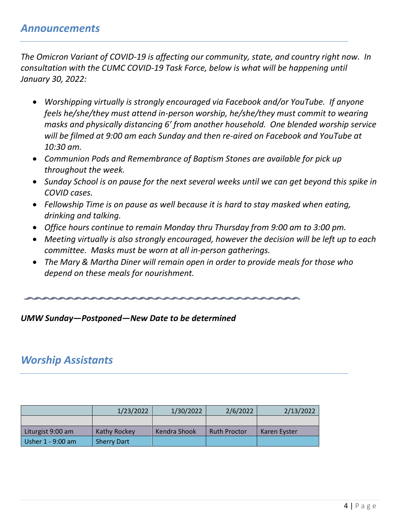*The Omicron Variant of COVID-19 is affecting our community, state, and country right now. In consultation with the CUMC COVID-19 Task Force, below is what will be happening until January 30, 2022:*

- *Worshipping virtually is strongly encouraged via Facebook and/or YouTube. If anyone feels he/she/they must attend in-person worship, he/she/they must commit to wearing masks and physically distancing 6' from another household. One blended worship service will be filmed at 9:00 am each Sunday and then re-aired on Facebook and YouTube at 10:30 am.*
- *Communion Pods and Remembrance of Baptism Stones are available for pick up throughout the week.*
- *Sunday School is on pause for the next several weeks until we can get beyond this spike in COVID cases.*
- *Fellowship Time is on pause as well because it is hard to stay masked when eating, drinking and talking.*
- *Office hours continue to remain Monday thru Thursday from 9:00 am to 3:00 pm.*
- *Meeting virtually is also strongly encouraged, however the decision will be left up to each committee. Masks must be worn at all in-person gatherings.*
- *The Mary & Martha Diner will remain open in order to provide meals for those who depend on these meals for nourishment.*

*UMW Sunday—Postponed—New Date to be determined*

### *Worship Assistants*

|                   | 1/23/2022          | 1/30/2022    | 2/6/2022            | 2/13/2022    |
|-------------------|--------------------|--------------|---------------------|--------------|
|                   |                    |              |                     |              |
| Liturgist 9:00 am | Kathy Rockey       | Kendra Shook | <b>Ruth Proctor</b> | Karen Evster |
| Usher 1 - 9:00 am | <b>Sherry Dart</b> |              |                     |              |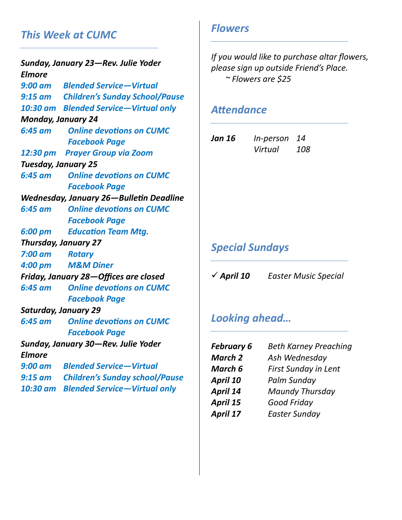## *This Week at CUMC*

*Sunday, January 23—Rev. Julie Yoder Elmore 9:00 am Blended Service—Virtual 9:15 am Children's Sunday School/Pause 10:30 am Blended Service—Virtual only Monday, January 24 6:45 am Online devotions on CUMC Facebook Page 12:30 pm Prayer Group via Zoom Tuesday, January 25 6:45 am Online devotions on CUMC Facebook Page Wednesday, January 26—Bulletin Deadline 6:45 am Online devotions on CUMC Facebook Page 6:00 pm Education Team Mtg. Thursday, January 27 7:00 am Rotary 4:00 pm M&M Diner Friday, January 28—Offices are closed 6:45 am Online devotions on CUMC Facebook Page Saturday, January 29 6:45 am Online devotions on CUMC Facebook Page Sunday, January 30—Rev. Julie Yoder Elmore 9:00 am Blended Service—Virtual 9:15 am Children's Sunday school/Pause 10:30 am Blended Service—Virtual only*

### *Flowers*

*If you would like to purchase altar flowers, please sign up outside Friend's Place. ~ Flowers are \$25*

#### *Attendance*

| Jan 16 | In-person 14 |            |
|--------|--------------|------------|
|        | Virtual      | <i>108</i> |

## *Special Sundays*

✓ *April 10 Easter Music Special*

### *Looking ahead…*

| <b>February 6</b> | <b>Beth Karney Preaching</b> |
|-------------------|------------------------------|
| <b>March 2</b>    | Ash Wednesday                |
| March 6           | <b>First Sunday in Lent</b>  |
| April 10          | Palm Sunday                  |
| April 14          | <b>Maundy Thursday</b>       |
| April 15          | <b>Good Friday</b>           |
| April 17          | <b>Easter Sunday</b>         |